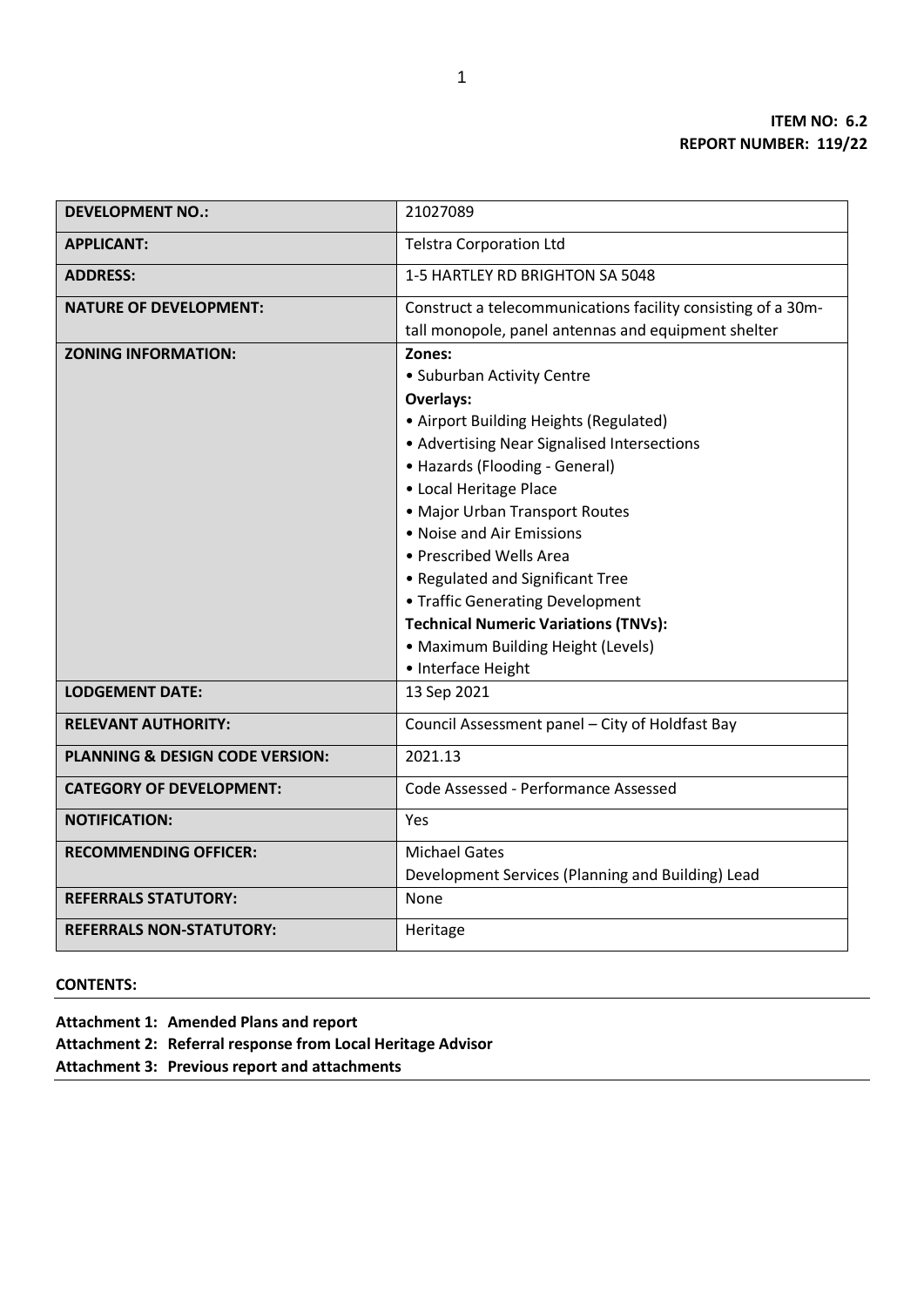| <b>DEVELOPMENT NO.:</b>         | 21027089                                                                                                            |  |
|---------------------------------|---------------------------------------------------------------------------------------------------------------------|--|
| <b>APPLICANT:</b>               | <b>Telstra Corporation Ltd</b>                                                                                      |  |
| <b>ADDRESS:</b>                 | 1-5 HARTLEY RD BRIGHTON SA 5048                                                                                     |  |
| <b>NATURE OF DEVELOPMENT:</b>   | Construct a telecommunications facility consisting of a 30m-<br>tall monopole, panel antennas and equipment shelter |  |
| <b>ZONING INFORMATION:</b>      | Zones:                                                                                                              |  |
|                                 | • Suburban Activity Centre                                                                                          |  |
|                                 | <b>Overlays:</b>                                                                                                    |  |
|                                 | • Airport Building Heights (Regulated)                                                                              |  |
|                                 | • Advertising Near Signalised Intersections                                                                         |  |
|                                 | • Hazards (Flooding - General)                                                                                      |  |
|                                 | • Local Heritage Place                                                                                              |  |
|                                 | • Major Urban Transport Routes                                                                                      |  |
|                                 | • Noise and Air Emissions                                                                                           |  |
|                                 | • Prescribed Wells Area                                                                                             |  |
|                                 | • Regulated and Significant Tree                                                                                    |  |
|                                 | • Traffic Generating Development                                                                                    |  |
|                                 | <b>Technical Numeric Variations (TNVs):</b>                                                                         |  |
|                                 | • Maximum Building Height (Levels)                                                                                  |  |
|                                 | • Interface Height                                                                                                  |  |
| <b>LODGEMENT DATE:</b>          | 13 Sep 2021                                                                                                         |  |
| <b>RELEVANT AUTHORITY:</b>      | Council Assessment panel - City of Holdfast Bay                                                                     |  |
| PLANNING & DESIGN CODE VERSION: | 2021.13                                                                                                             |  |
| <b>CATEGORY OF DEVELOPMENT:</b> | Code Assessed - Performance Assessed                                                                                |  |
| <b>NOTIFICATION:</b>            | Yes                                                                                                                 |  |
| <b>RECOMMENDING OFFICER:</b>    | <b>Michael Gates</b>                                                                                                |  |
|                                 | Development Services (Planning and Building) Lead                                                                   |  |
| <b>REFERRALS STATUTORY:</b>     | None                                                                                                                |  |
| <b>REFERRALS NON-STATUTORY:</b> | Heritage                                                                                                            |  |

**CONTENTS:** 

**Attachment 1: Amended Plans and report**

**Attachment 2: Referral response from Local Heritage Advisor**

**Attachment 3: Previous report and attachments**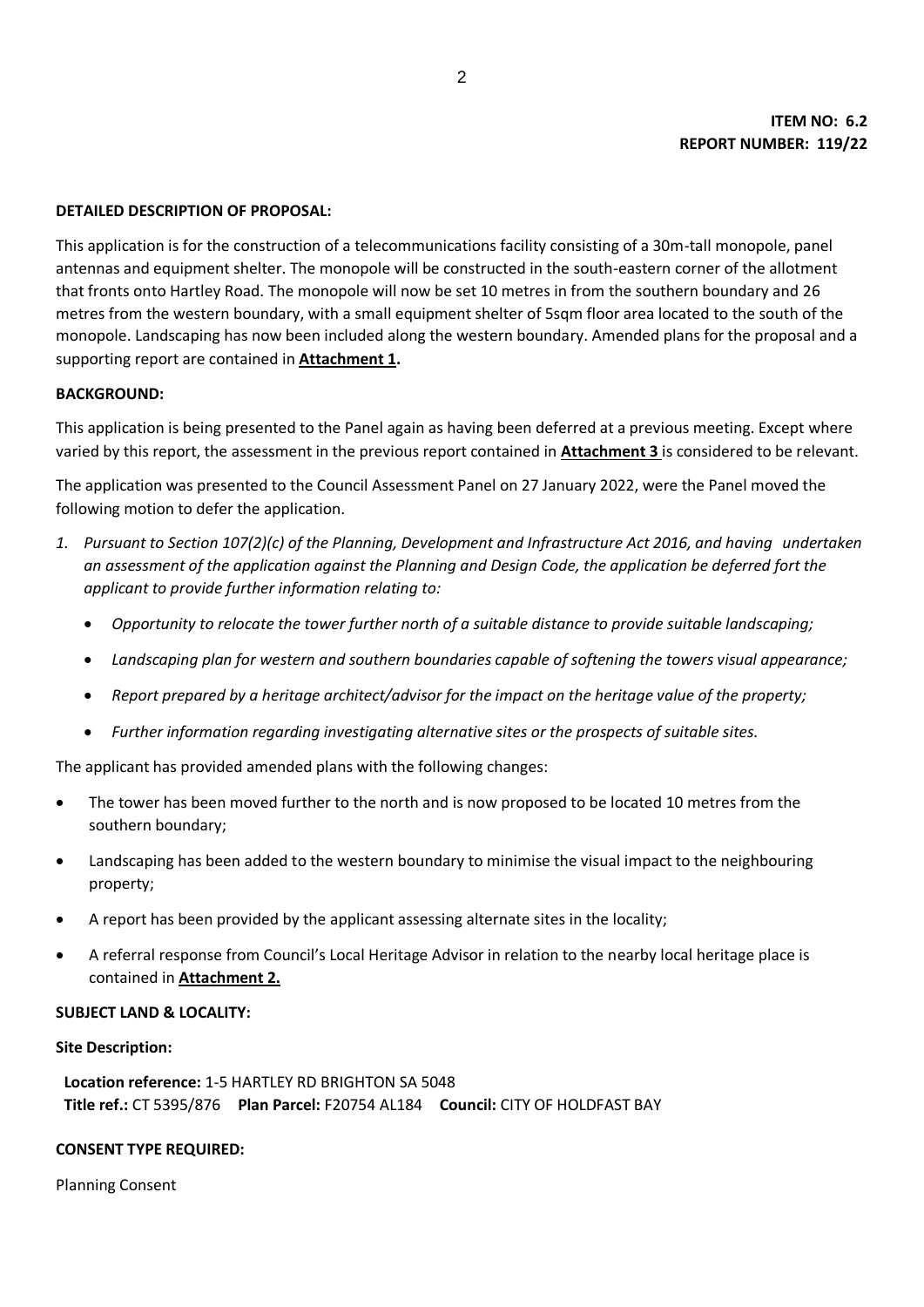### **DETAILED DESCRIPTION OF PROPOSAL:**

This application is for the construction of a telecommunications facility consisting of a 30m-tall monopole, panel antennas and equipment shelter. The monopole will be constructed in the south-eastern corner of the allotment that fronts onto Hartley Road. The monopole will now be set 10 metres in from the southern boundary and 26 metres from the western boundary, with a small equipment shelter of 5sqm floor area located to the south of the monopole. Landscaping has now been included along the western boundary. Amended plans for the proposal and a supporting report are contained in **Attachment 1.**

### **BACKGROUND:**

This application is being presented to the Panel again as having been deferred at a previous meeting. Except where varied by this report, the assessment in the previous report contained in **Attachment 3** is considered to be relevant.

The application was presented to the Council Assessment Panel on 27 January 2022, were the Panel moved the following motion to defer the application.

- *1. Pursuant to Section 107(2)(c) of the Planning, Development and Infrastructure Act 2016, and having undertaken an assessment of the application against the Planning and Design Code, the application be deferred fort the applicant to provide further information relating to:* 
	- *Opportunity to relocate the tower further north of a suitable distance to provide suitable landscaping;*
	- *Landscaping plan for western and southern boundaries capable of softening the towers visual appearance;*
	- *Report prepared by a heritage architect/advisor for the impact on the heritage value of the property;*
	- *Further information regarding investigating alternative sites or the prospects of suitable sites.*

The applicant has provided amended plans with the following changes:

- The tower has been moved further to the north and is now proposed to be located 10 metres from the southern boundary;
- Landscaping has been added to the western boundary to minimise the visual impact to the neighbouring property;
- A report has been provided by the applicant assessing alternate sites in the locality;
- A referral response from Council's Local Heritage Advisor in relation to the nearby local heritage place is contained in **Attachment 2.**

### **SUBJECT LAND & LOCALITY:**

#### **Site Description:**

**Location reference:** 1-5 HARTLEY RD BRIGHTON SA 5048 **Title ref.:** CT 5395/876 **Plan Parcel:** F20754 AL184 **Council:** CITY OF HOLDFAST BAY

#### **CONSENT TYPE REQUIRED:**

Planning Consent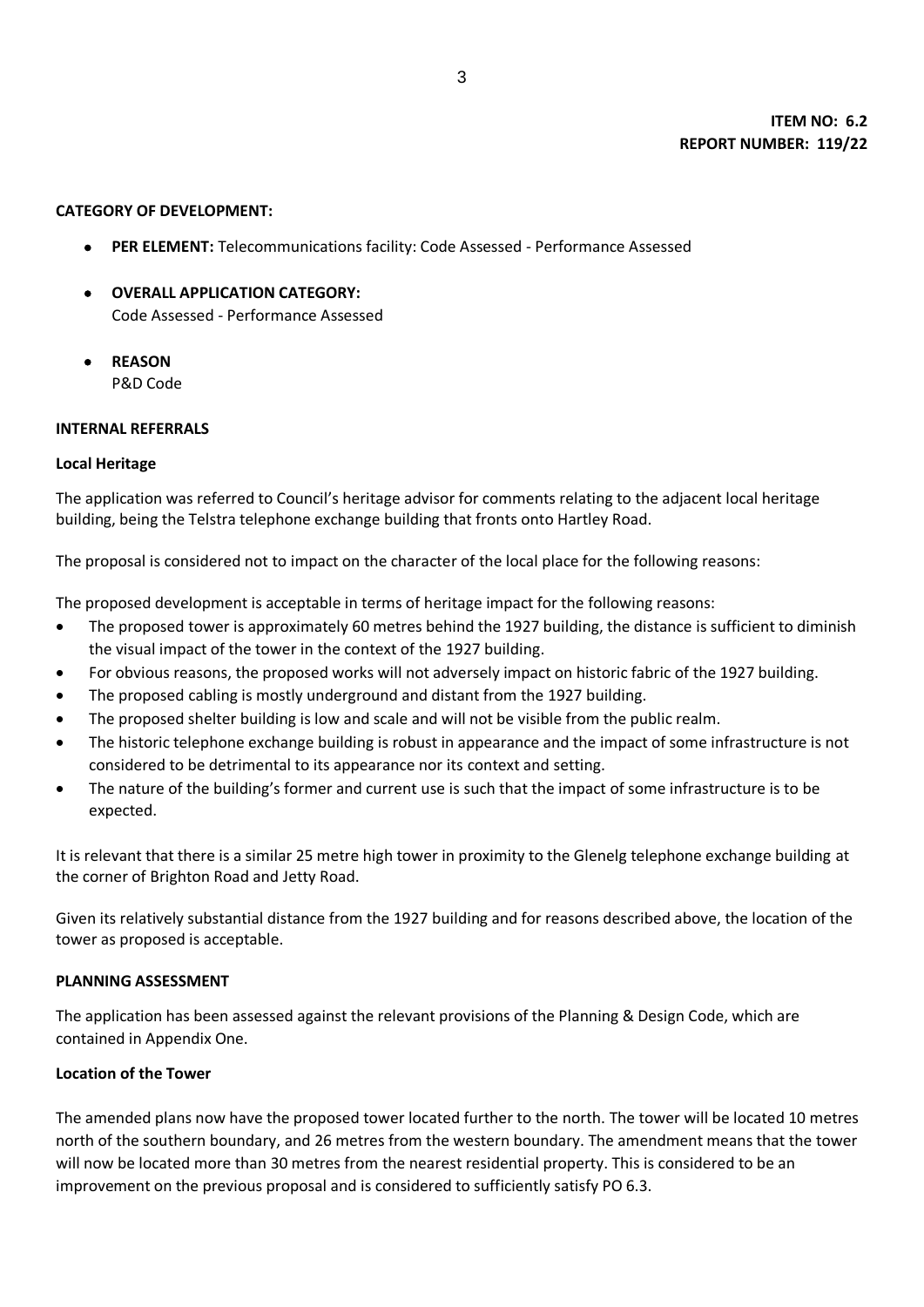### **CATEGORY OF DEVELOPMENT:**

- **PER ELEMENT:** Telecommunications facility: Code Assessed Performance Assessed
- **OVERALL APPLICATION CATEGORY:** Code Assessed - Performance Assessed
- **REASON** P&D Code

### **INTERNAL REFERRALS**

## **Local Heritage**

The application was referred to Council's heritage advisor for comments relating to the adjacent local heritage building, being the Telstra telephone exchange building that fronts onto Hartley Road.

The proposal is considered not to impact on the character of the local place for the following reasons:

The proposed development is acceptable in terms of heritage impact for the following reasons:

- The proposed tower is approximately 60 metres behind the 1927 building, the distance is sufficient to diminish the visual impact of the tower in the context of the 1927 building.
- For obvious reasons, the proposed works will not adversely impact on historic fabric of the 1927 building.
- The proposed cabling is mostly underground and distant from the 1927 building.
- The proposed shelter building is low and scale and will not be visible from the public realm.
- The historic telephone exchange building is robust in appearance and the impact of some infrastructure is not considered to be detrimental to its appearance nor its context and setting.
- The nature of the building's former and current use is such that the impact of some infrastructure is to be expected.

It is relevant that there is a similar 25 metre high tower in proximity to the Glenelg telephone exchange building at the corner of Brighton Road and Jetty Road.

Given its relatively substantial distance from the 1927 building and for reasons described above, the location of the tower as proposed is acceptable.

## **PLANNING ASSESSMENT**

The application has been assessed against the relevant provisions of the Planning & Design Code, which are contained in Appendix One.

## **Location of the Tower**

The amended plans now have the proposed tower located further to the north. The tower will be located 10 metres north of the southern boundary, and 26 metres from the western boundary. The amendment means that the tower will now be located more than 30 metres from the nearest residential property. This is considered to be an improvement on the previous proposal and is considered to sufficiently satisfy PO 6.3.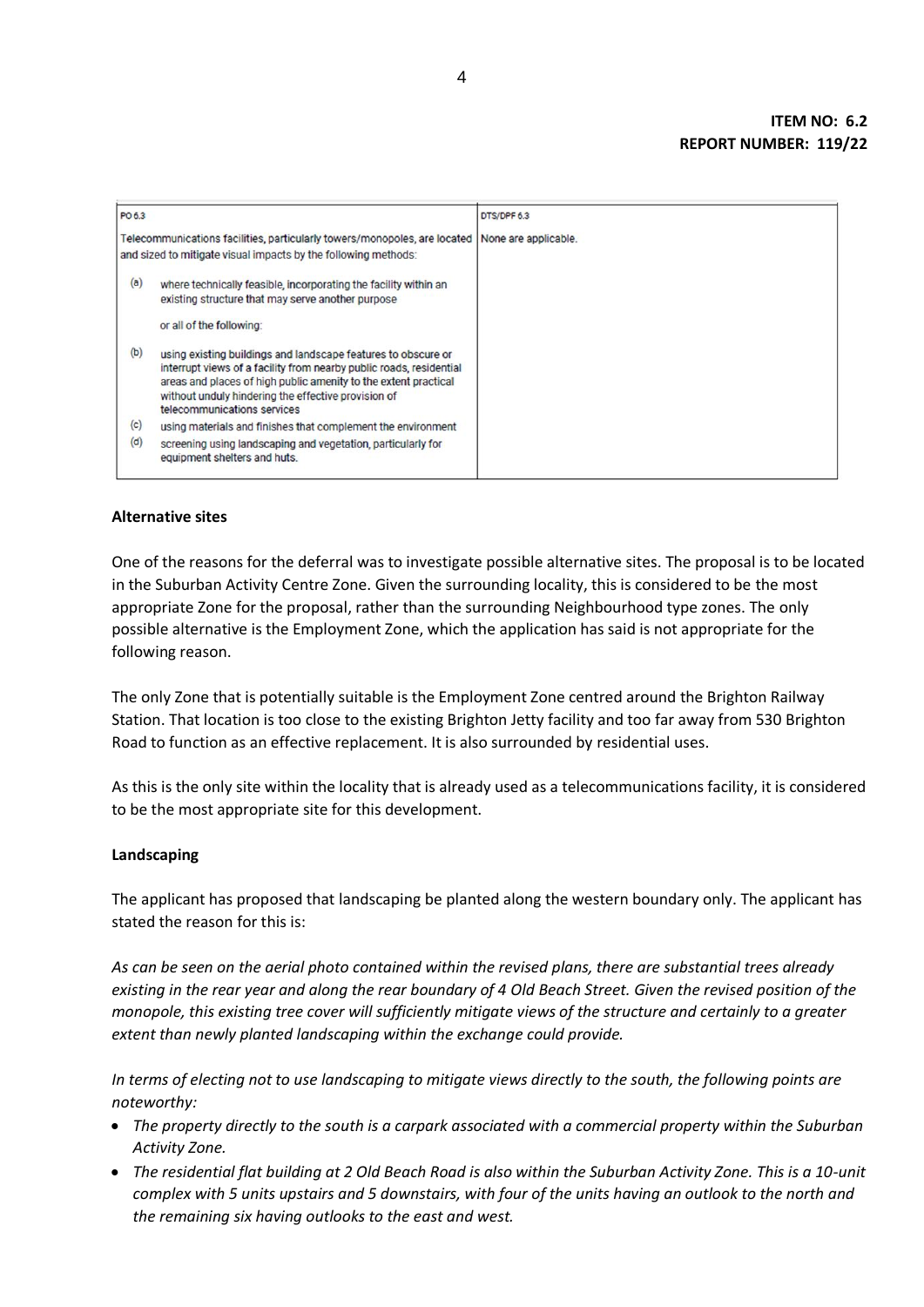| PO 6.3 |                                                                                                                                                                                                                                                                                               | DTS/DPF 6.3          |
|--------|-----------------------------------------------------------------------------------------------------------------------------------------------------------------------------------------------------------------------------------------------------------------------------------------------|----------------------|
|        | Telecommunications facilities, particularly towers/monopoles, are located<br>and sized to mitigate visual impacts by the following methods:                                                                                                                                                   | None are applicable. |
| (a)    | where technically feasible, incorporating the facility within an<br>existing structure that may serve another purpose                                                                                                                                                                         |                      |
|        | or all of the following:                                                                                                                                                                                                                                                                      |                      |
| (b)    | using existing buildings and landscape features to obscure or<br>interrupt views of a facility from nearby public roads, residential<br>areas and places of high public amenity to the extent practical<br>without unduly hindering the effective provision of<br>telecommunications services |                      |
| (c)    | using materials and finishes that complement the environment                                                                                                                                                                                                                                  |                      |
| (d)    | screening using landscaping and vegetation, particularly for<br>equipment shelters and huts.                                                                                                                                                                                                  |                      |

## **Alternative sites**

One of the reasons for the deferral was to investigate possible alternative sites. The proposal is to be located in the Suburban Activity Centre Zone. Given the surrounding locality, this is considered to be the most appropriate Zone for the proposal, rather than the surrounding Neighbourhood type zones. The only possible alternative is the Employment Zone, which the application has said is not appropriate for the following reason.

The only Zone that is potentially suitable is the Employment Zone centred around the Brighton Railway Station. That location is too close to the existing Brighton Jetty facility and too far away from 530 Brighton Road to function as an effective replacement. It is also surrounded by residential uses.

As this is the only site within the locality that is already used as a telecommunications facility, it is considered to be the most appropriate site for this development.

## **Landscaping**

The applicant has proposed that landscaping be planted along the western boundary only. The applicant has stated the reason for this is:

*As can be seen on the aerial photo contained within the revised plans, there are substantial trees already existing in the rear year and along the rear boundary of 4 Old Beach Street. Given the revised position of the monopole, this existing tree cover will sufficiently mitigate views of the structure and certainly to a greater extent than newly planted landscaping within the exchange could provide.*

*In terms of electing not to use landscaping to mitigate views directly to the south, the following points are noteworthy:*

- *The property directly to the south is a carpark associated with a commercial property within the Suburban Activity Zone.*
- *The residential flat building at 2 Old Beach Road is also within the Suburban Activity Zone. This is a 10-unit complex with 5 units upstairs and 5 downstairs, with four of the units having an outlook to the north and the remaining six having outlooks to the east and west.*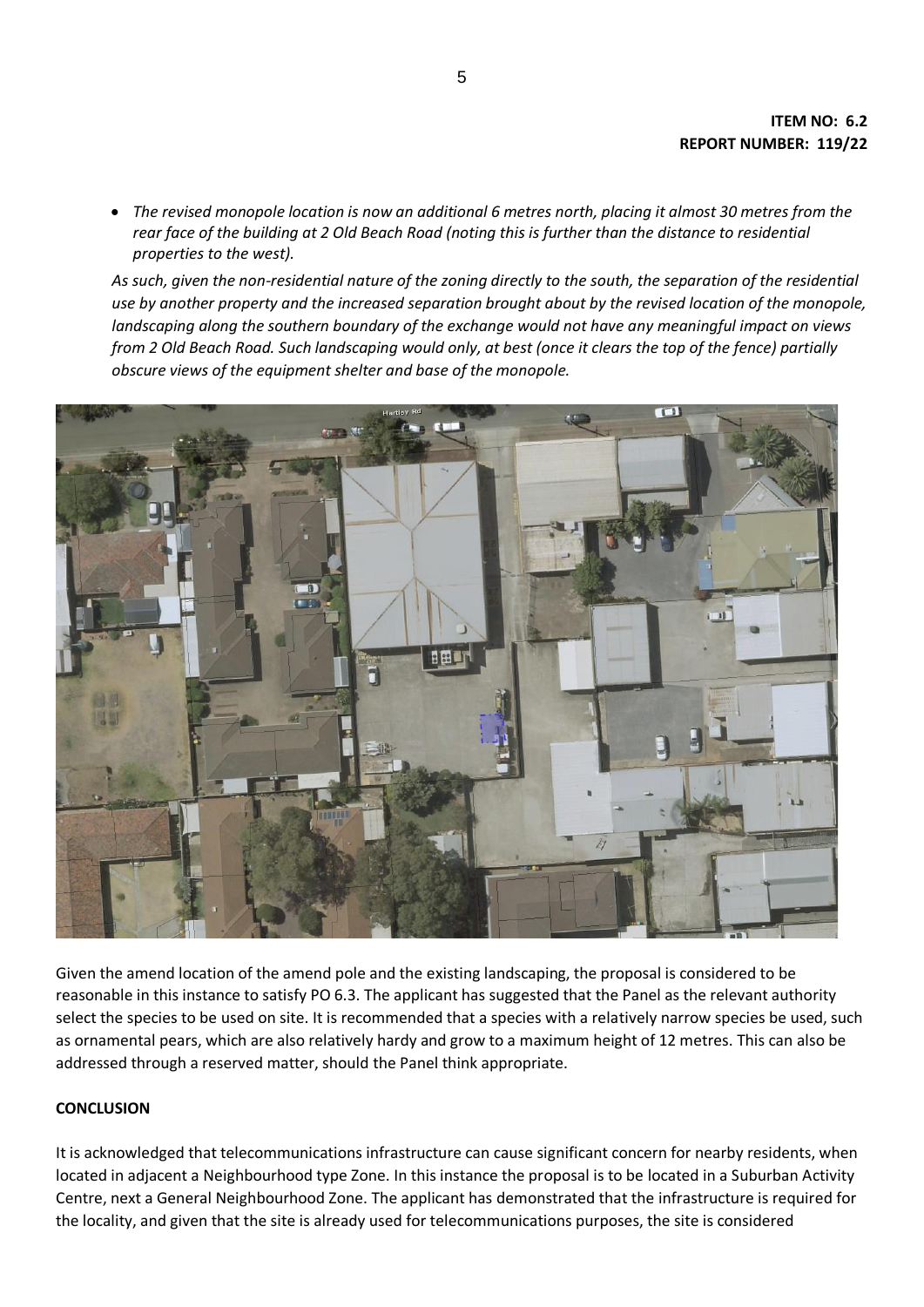*The revised monopole location is now an additional 6 metres north, placing it almost 30 metres from the rear face of the building at 2 Old Beach Road (noting this is further than the distance to residential properties to the west).*

*As such, given the non-residential nature of the zoning directly to the south, the separation of the residential use by another property and the increased separation brought about by the revised location of the monopole, landscaping along the southern boundary of the exchange would not have any meaningful impact on views from 2 Old Beach Road. Such landscaping would only, at best (once it clears the top of the fence) partially obscure views of the equipment shelter and base of the monopole.*



Given the amend location of the amend pole and the existing landscaping, the proposal is considered to be reasonable in this instance to satisfy PO 6.3. The applicant has suggested that the Panel as the relevant authority select the species to be used on site. It is recommended that a species with a relatively narrow species be used, such as ornamental pears, which are also relatively hardy and grow to a maximum height of 12 metres. This can also be addressed through a reserved matter, should the Panel think appropriate.

# **CONCLUSION**

It is acknowledged that telecommunications infrastructure can cause significant concern for nearby residents, when located in adjacent a Neighbourhood type Zone. In this instance the proposal is to be located in a Suburban Activity Centre, next a General Neighbourhood Zone. The applicant has demonstrated that the infrastructure is required for the locality, and given that the site is already used for telecommunications purposes, the site is considered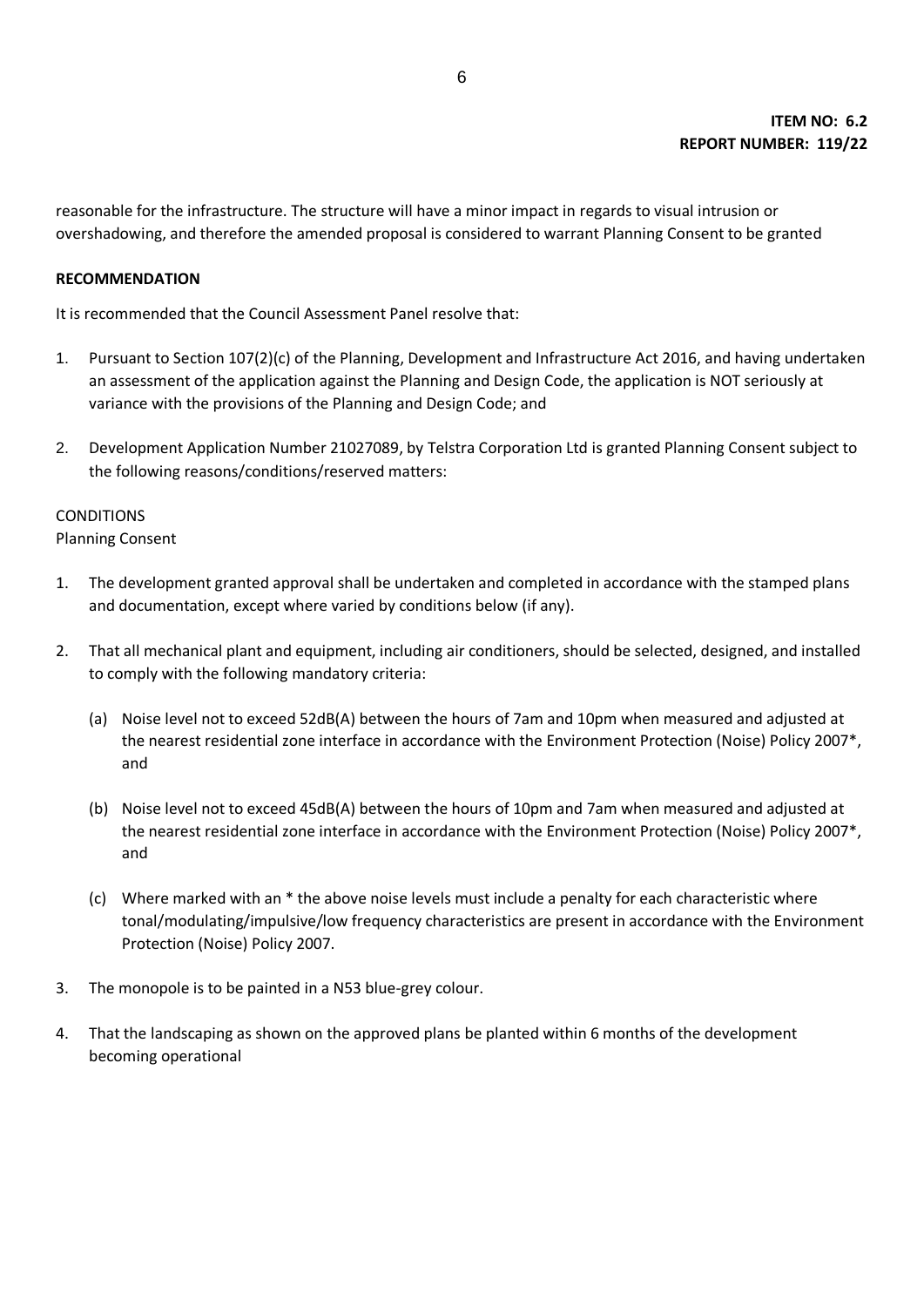reasonable for the infrastructure. The structure will have a minor impact in regards to visual intrusion or overshadowing, and therefore the amended proposal is considered to warrant Planning Consent to be granted

## **RECOMMENDATION**

It is recommended that the Council Assessment Panel resolve that:

- 1. Pursuant to Section 107(2)(c) of the Planning, Development and Infrastructure Act 2016, and having undertaken an assessment of the application against the Planning and Design Code, the application is NOT seriously at variance with the provisions of the Planning and Design Code; and
- 2. Development Application Number 21027089, by Telstra Corporation Ltd is granted Planning Consent subject to the following reasons/conditions/reserved matters:

# CONDITIONS

Planning Consent

- 1. The development granted approval shall be undertaken and completed in accordance with the stamped plans and documentation, except where varied by conditions below (if any).
- 2. That all mechanical plant and equipment, including air conditioners, should be selected, designed, and installed to comply with the following mandatory criteria:
	- (a) Noise level not to exceed 52dB(A) between the hours of 7am and 10pm when measured and adjusted at the nearest residential zone interface in accordance with the Environment Protection (Noise) Policy 2007\*, and
	- (b) Noise level not to exceed 45dB(A) between the hours of 10pm and 7am when measured and adjusted at the nearest residential zone interface in accordance with the Environment Protection (Noise) Policy 2007\*, and
	- (c) Where marked with an \* the above noise levels must include a penalty for each characteristic where tonal/modulating/impulsive/low frequency characteristics are present in accordance with the Environment Protection (Noise) Policy 2007.
- 3. The monopole is to be painted in a N53 blue-grey colour.
- 4. That the landscaping as shown on the approved plans be planted within 6 months of the development becoming operational